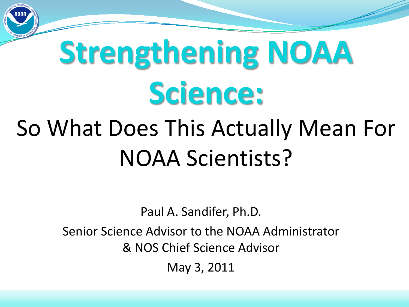

# **Strengthening NOAA Science:**

### So What Does This Actually Mean For NOAA Scientists?

Paul A. Sandifer, Ph.D.

Senior Science Advisor to the NOAA Administrator & NOS Chief Science Advisor

May 3, 2011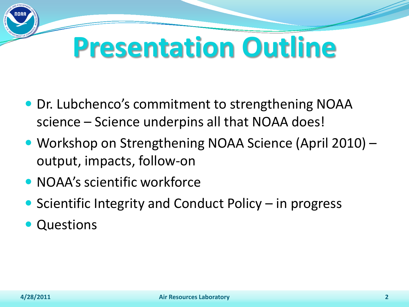## **Presentation Outline**

- Dr. Lubchenco's commitment to strengthening NOAA science – Science underpins all that NOAA does!
- Workshop on Strengthening NOAA Science (April 2010) output, impacts, follow-on
- NOAA's scientific workforce
- $\bullet$  Scientific Integrity and Conduct Policy in progress
- Questions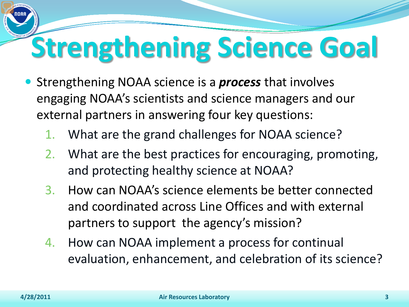## **Strengthening Science Goal**

- Strengthening NOAA science is a *process* that involves engaging NOAA's scientists and science managers and our external partners in answering four key questions:
	- What are the grand challenges for NOAA science?
	- 2. What are the best practices for encouraging, promoting, and protecting healthy science at NOAA?
	- 3. How can NOAA's science elements be better connected and coordinated across Line Offices and with external partners to support the agency's mission?
	- 4. How can NOAA implement a process for continual evaluation, enhancement, and celebration of its science?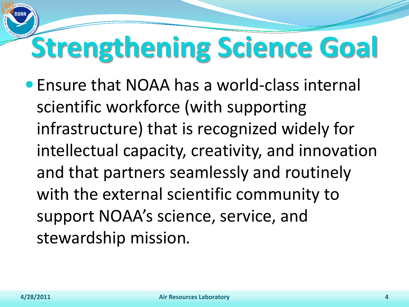## **Strengthening Science Goal**

 Ensure that NOAA has a world-class internal scientific workforce (with supporting infrastructure) that is recognized widely for intellectual capacity, creativity, and innovation and that partners seamlessly and routinely with the external scientific community to support NOAA's science, service, and stewardship mission*.*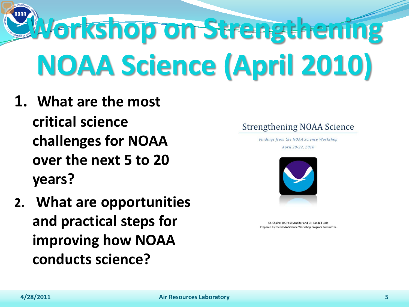**Workshop on Strengthening NOAA Science (April 2010)**

- **1. What are the most critical science challenges for NOAA over the next 5 to 20 years?**
- **2. What are opportunities and practical steps for improving how NOAA conducts science?**

#### **Strengthening NOAA Science**

Findings from the NOAA Science Workshop

April 20-22, 2010



Co-Chairs: Dr. Paul Sandifer and Dr. Randall Dole Prepared by the NOAA Science Workshop Program Committee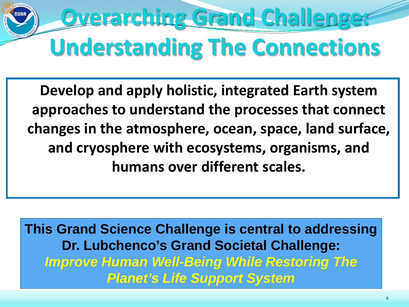## **Overarching Grand Challenge: Understanding The Connections**

**Develop and apply holistic, integrated Earth system approaches to understand the processes that connect changes in the atmosphere, ocean, space, land surface, and cryosphere with ecosystems, organisms, and humans over different scales.**

**This Grand Science Challenge is central to addressing Dr. Lubchenco's Grand Societal Challenge:**  *Improve Human Well-Being While Restoring The Planet's Life Support System*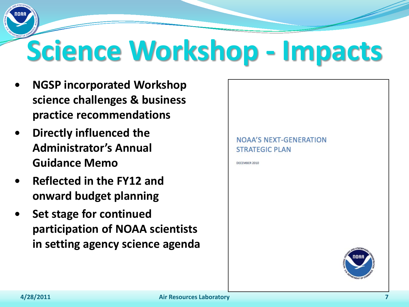## **Science Workshop - Impacts**

- **NGSP incorporated Workshop science challenges & business practice recommendations**
- **Directly influenced the Administrator's Annual Guidance Memo**
- **Reflected in the FY12 and onward budget planning**
- **Set stage for continued participation of NOAA scientists in setting agency science agenda**

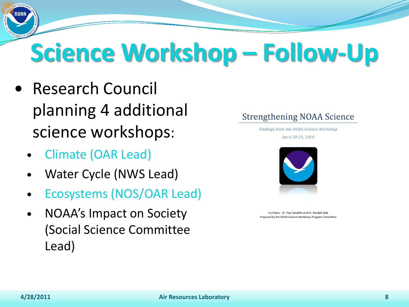## **Science Workshop – Follow-Up**

- Research Council planning 4 additional science workshops:
	- Climate (OAR Lead)
	- Water Cycle (NWS Lead)
	- Ecosystems (NOS/OAR Lead)
	- NOAA's Impact on Society (Social Science Committee Lead)



Findings from the NOAA Science Workshop April 20-22, 2010



Co-Chairs: Dr. Paul Sandifer and Dr. Randall Dole Prepared by the NOAA Science Workshop Program Committee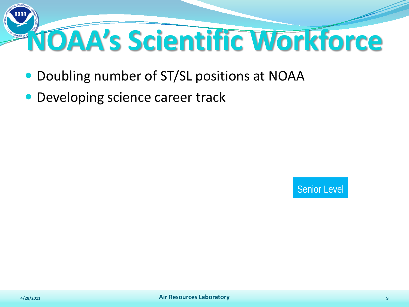

- Doubling number of ST/SL positions at NOAA
- Developing science career track

Senior Level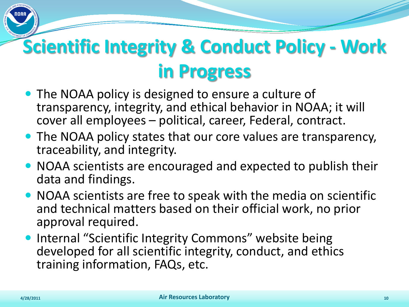#### **Scientific Integrity & Conduct Policy - Work in Progress**

- The NOAA policy is designed to ensure a culture of transparency, integrity, and ethical behavior in NOAA; it will cover all employees – political, career, Federal, contract.
- The NOAA policy states that our core values are transparency, traceability, and integrity.
- NOAA scientists are encouraged and expected to publish their data and findings.
- NOAA scientists are free to speak with the media on scientific and technical matters based on their official work, no prior approval required.
- **Internal "Scientific Integrity Commons" website being** developed for all scientific integrity, conduct, and ethics training information, FAQs, etc.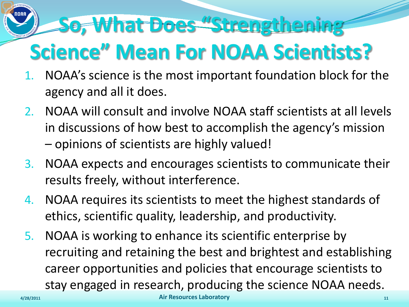#### **So, What Does "Strengthening Science" Mean For NOAA Scientists?**

- 1. NOAA's science is the most important foundation block for the agency and all it does.
- 2. NOAA will consult and involve NOAA staff scientists at all levels in discussions of how best to accomplish the agency's mission – opinions of scientists are highly valued!
- 3. NOAA expects and encourages scientists to communicate their results freely, without interference.
- 4. NOAA requires its scientists to meet the highest standards of ethics, scientific quality, leadership, and productivity.
- 5. NOAA is working to enhance its scientific enterprise by recruiting and retaining the best and brightest and establishing career opportunities and policies that encourage scientists to stay engaged in research, producing the science NOAA needs.